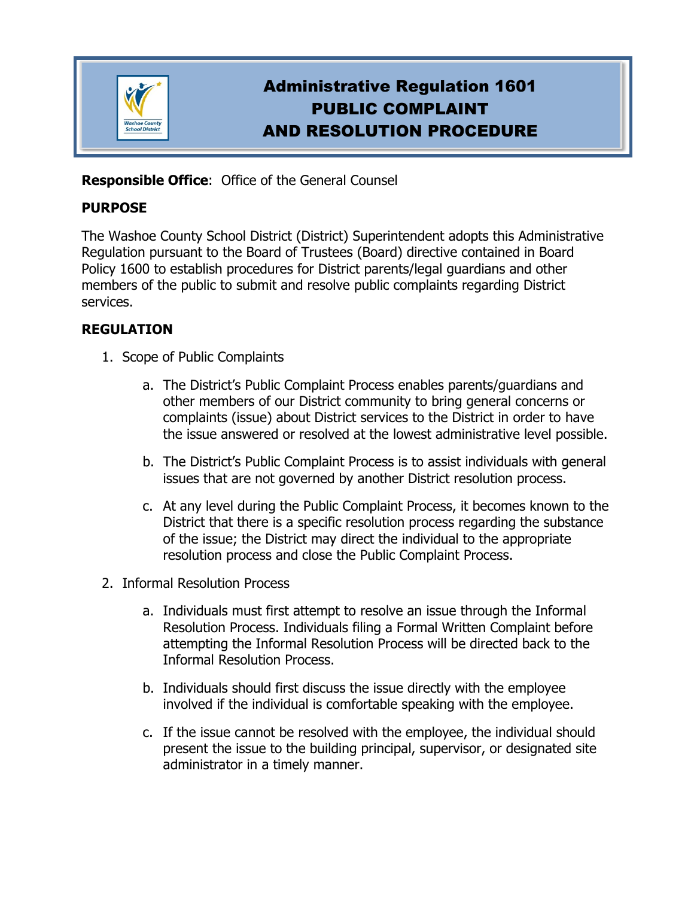

# Administrative Regulation 1601 PUBLIC COMPLAINT AND RESOLUTION PROCEDURE

## **Responsible Office**: Office of the General Counsel

#### **PURPOSE**

The Washoe County School District (District) Superintendent adopts this Administrative Regulation pursuant to the Board of Trustees (Board) directive contained in Board Policy 1600 to establish procedures for District parents/legal guardians and other members of the public to submit and resolve public complaints regarding District services.

## **REGULATION**

- 1. Scope of Public Complaints
	- a. The District's Public Complaint Process enables parents/guardians and other members of our District community to bring general concerns or complaints (issue) about District services to the District in order to have the issue answered or resolved at the lowest administrative level possible.
	- b. The District's Public Complaint Process is to assist individuals with general issues that are not governed by another District resolution process.
	- c. At any level during the Public Complaint Process, it becomes known to the District that there is a specific resolution process regarding the substance of the issue; the District may direct the individual to the appropriate resolution process and close the Public Complaint Process.
- 2. Informal Resolution Process
	- a. Individuals must first attempt to resolve an issue through the Informal Resolution Process. Individuals filing a Formal Written Complaint before attempting the Informal Resolution Process will be directed back to the Informal Resolution Process.
	- b. Individuals should first discuss the issue directly with the employee involved if the individual is comfortable speaking with the employee.
	- c. If the issue cannot be resolved with the employee, the individual should present the issue to the building principal, supervisor, or designated site administrator in a timely manner.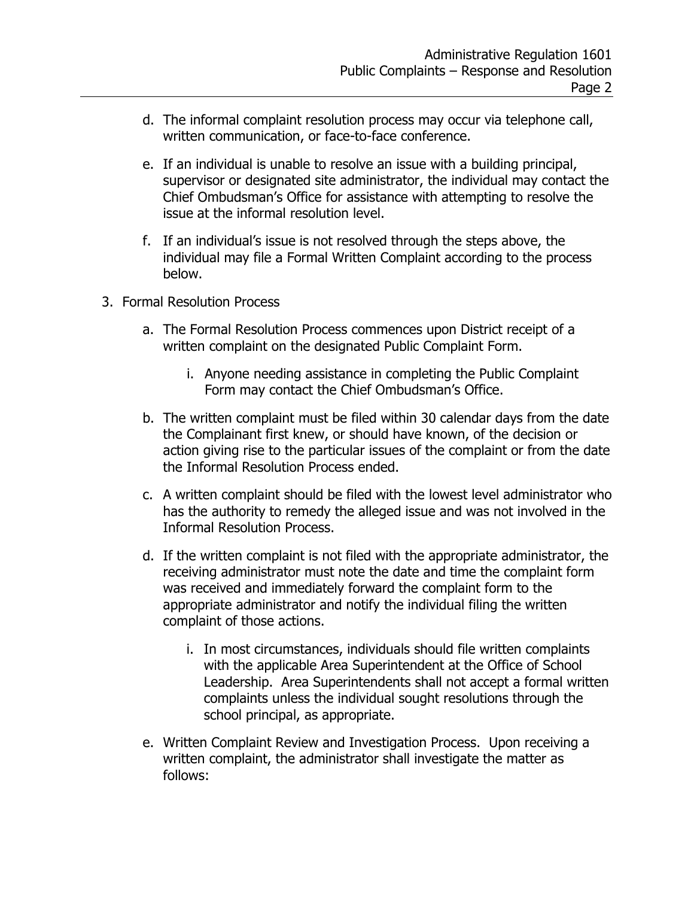- d. The informal complaint resolution process may occur via telephone call, written communication, or face-to-face conference.
- e. If an individual is unable to resolve an issue with a building principal, supervisor or designated site administrator, the individual may contact the Chief Ombudsman's Office for assistance with attempting to resolve the issue at the informal resolution level.
- f. If an individual's issue is not resolved through the steps above, the individual may file a Formal Written Complaint according to the process below.
- 3. Formal Resolution Process
	- a. The Formal Resolution Process commences upon District receipt of a written complaint on the designated Public Complaint Form.
		- i. Anyone needing assistance in completing the Public Complaint Form may contact the Chief Ombudsman's Office.
	- b. The written complaint must be filed within 30 calendar days from the date the Complainant first knew, or should have known, of the decision or action giving rise to the particular issues of the complaint or from the date the Informal Resolution Process ended.
	- c. A written complaint should be filed with the lowest level administrator who has the authority to remedy the alleged issue and was not involved in the Informal Resolution Process.
	- d. If the written complaint is not filed with the appropriate administrator, the receiving administrator must note the date and time the complaint form was received and immediately forward the complaint form to the appropriate administrator and notify the individual filing the written complaint of those actions.
		- i. In most circumstances, individuals should file written complaints with the applicable Area Superintendent at the Office of School Leadership. Area Superintendents shall not accept a formal written complaints unless the individual sought resolutions through the school principal, as appropriate.
	- e. Written Complaint Review and Investigation Process. Upon receiving a written complaint, the administrator shall investigate the matter as follows: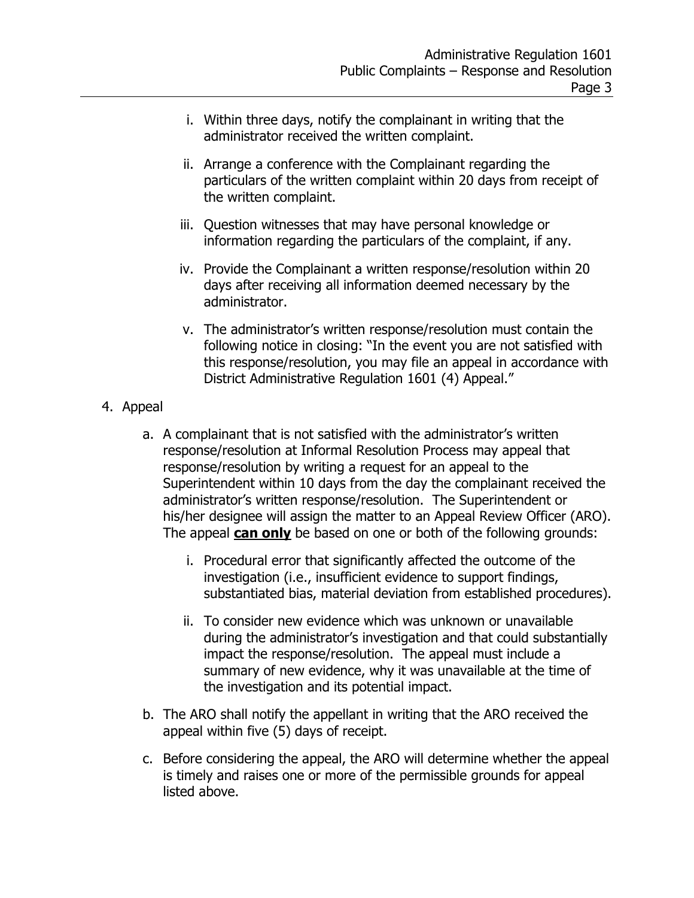- i. Within three days, notify the complainant in writing that the administrator received the written complaint.
- ii. Arrange a conference with the Complainant regarding the particulars of the written complaint within 20 days from receipt of the written complaint.
- iii. Question witnesses that may have personal knowledge or information regarding the particulars of the complaint, if any.
- iv. Provide the Complainant a written response/resolution within 20 days after receiving all information deemed necessary by the administrator.
- v. The administrator's written response/resolution must contain the following notice in closing: "In the event you are not satisfied with this response/resolution, you may file an appeal in accordance with District Administrative Regulation 1601 (4) Appeal."
- 4. Appeal
	- a. A complainant that is not satisfied with the administrator's written response/resolution at Informal Resolution Process may appeal that response/resolution by writing a request for an appeal to the Superintendent within 10 days from the day the complainant received the administrator's written response/resolution. The Superintendent or his/her designee will assign the matter to an Appeal Review Officer (ARO). The appeal **can only** be based on one or both of the following grounds:
		- i. Procedural error that significantly affected the outcome of the investigation (i.e., insufficient evidence to support findings, substantiated bias, material deviation from established procedures).
		- ii. To consider new evidence which was unknown or unavailable during the administrator's investigation and that could substantially impact the response/resolution. The appeal must include a summary of new evidence, why it was unavailable at the time of the investigation and its potential impact.
	- b. The ARO shall notify the appellant in writing that the ARO received the appeal within five (5) days of receipt.
	- c. Before considering the appeal, the ARO will determine whether the appeal is timely and raises one or more of the permissible grounds for appeal listed above.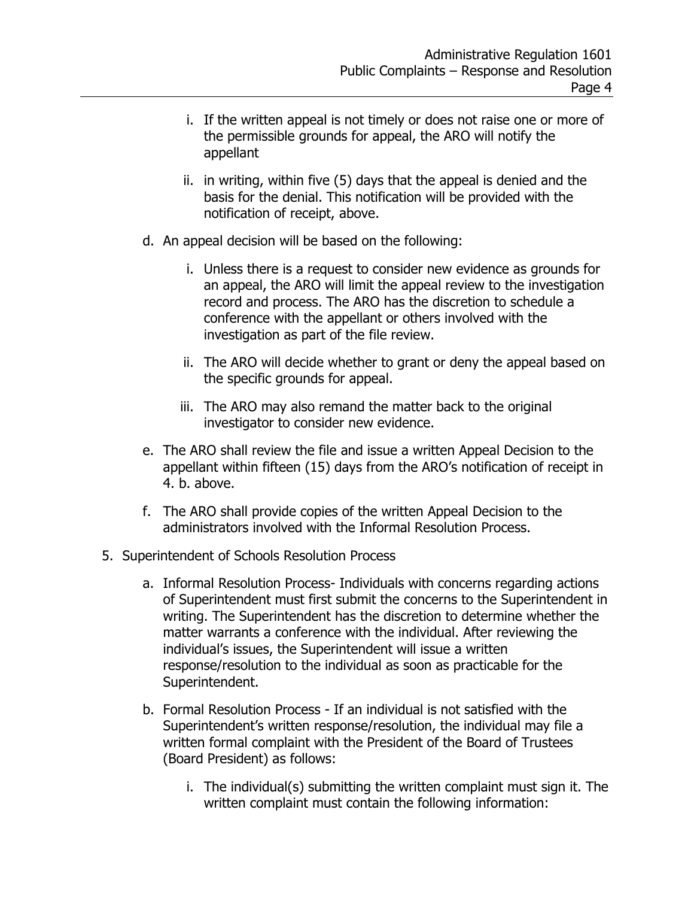- i. If the written appeal is not timely or does not raise one or more of the permissible grounds for appeal, the ARO will notify the appellant
- ii. in writing, within five (5) days that the appeal is denied and the basis for the denial. This notification will be provided with the notification of receipt, above.
- d. An appeal decision will be based on the following:
	- i. Unless there is a request to consider new evidence as grounds for an appeal, the ARO will limit the appeal review to the investigation record and process. The ARO has the discretion to schedule a conference with the appellant or others involved with the investigation as part of the file review.
	- ii. The ARO will decide whether to grant or deny the appeal based on the specific grounds for appeal.
	- iii. The ARO may also remand the matter back to the original investigator to consider new evidence.
- e. The ARO shall review the file and issue a written Appeal Decision to the appellant within fifteen (15) days from the ARO's notification of receipt in 4. b. above.
- f. The ARO shall provide copies of the written Appeal Decision to the administrators involved with the Informal Resolution Process.
- 5. Superintendent of Schools Resolution Process
	- a. Informal Resolution Process- Individuals with concerns regarding actions of Superintendent must first submit the concerns to the Superintendent in writing. The Superintendent has the discretion to determine whether the matter warrants a conference with the individual. After reviewing the individual's issues, the Superintendent will issue a written response/resolution to the individual as soon as practicable for the Superintendent.
	- b. Formal Resolution Process If an individual is not satisfied with the Superintendent's written response/resolution, the individual may file a written formal complaint with the President of the Board of Trustees (Board President) as follows:
		- i. The individual(s) submitting the written complaint must sign it. The written complaint must contain the following information: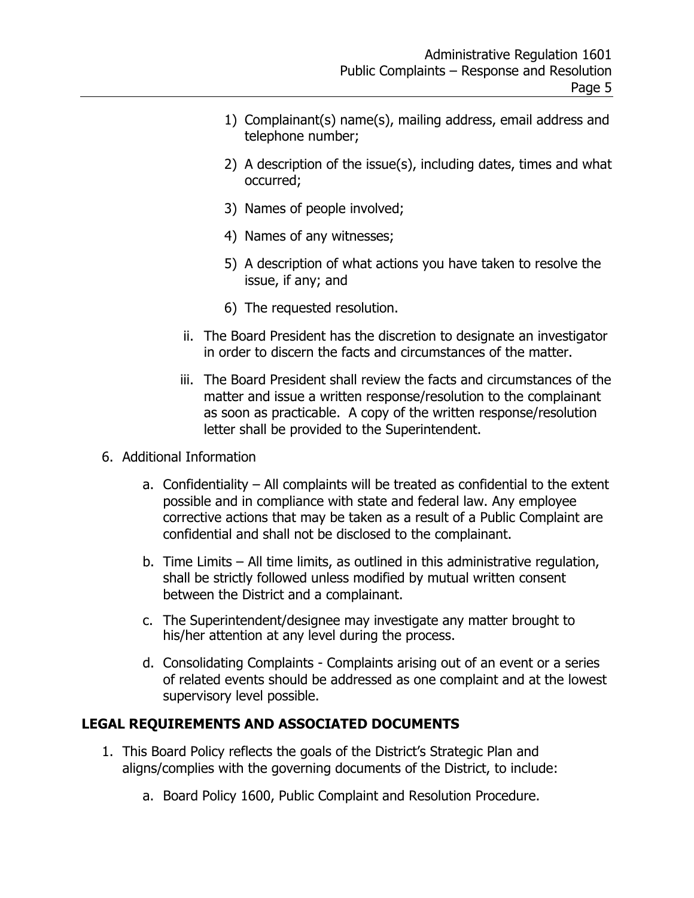- 1) Complainant(s) name(s), mailing address, email address and telephone number;
- 2) A description of the issue(s), including dates, times and what occurred;
- 3) Names of people involved;
- 4) Names of any witnesses;
- 5) A description of what actions you have taken to resolve the issue, if any; and
- 6) The requested resolution.
- ii. The Board President has the discretion to designate an investigator in order to discern the facts and circumstances of the matter.
- iii. The Board President shall review the facts and circumstances of the matter and issue a written response/resolution to the complainant as soon as practicable. A copy of the written response/resolution letter shall be provided to the Superintendent.
- 6. Additional Information
	- a. Confidentiality All complaints will be treated as confidential to the extent possible and in compliance with state and federal law. Any employee corrective actions that may be taken as a result of a Public Complaint are confidential and shall not be disclosed to the complainant.
	- b. Time Limits All time limits, as outlined in this administrative regulation, shall be strictly followed unless modified by mutual written consent between the District and a complainant.
	- c. The Superintendent/designee may investigate any matter brought to his/her attention at any level during the process.
	- d. Consolidating Complaints Complaints arising out of an event or a series of related events should be addressed as one complaint and at the lowest supervisory level possible.

#### **LEGAL REQUIREMENTS AND ASSOCIATED DOCUMENTS**

- 1. This Board Policy reflects the goals of the District's Strategic Plan and aligns/complies with the governing documents of the District, to include:
	- a. Board Policy 1600, Public Complaint and Resolution Procedure.